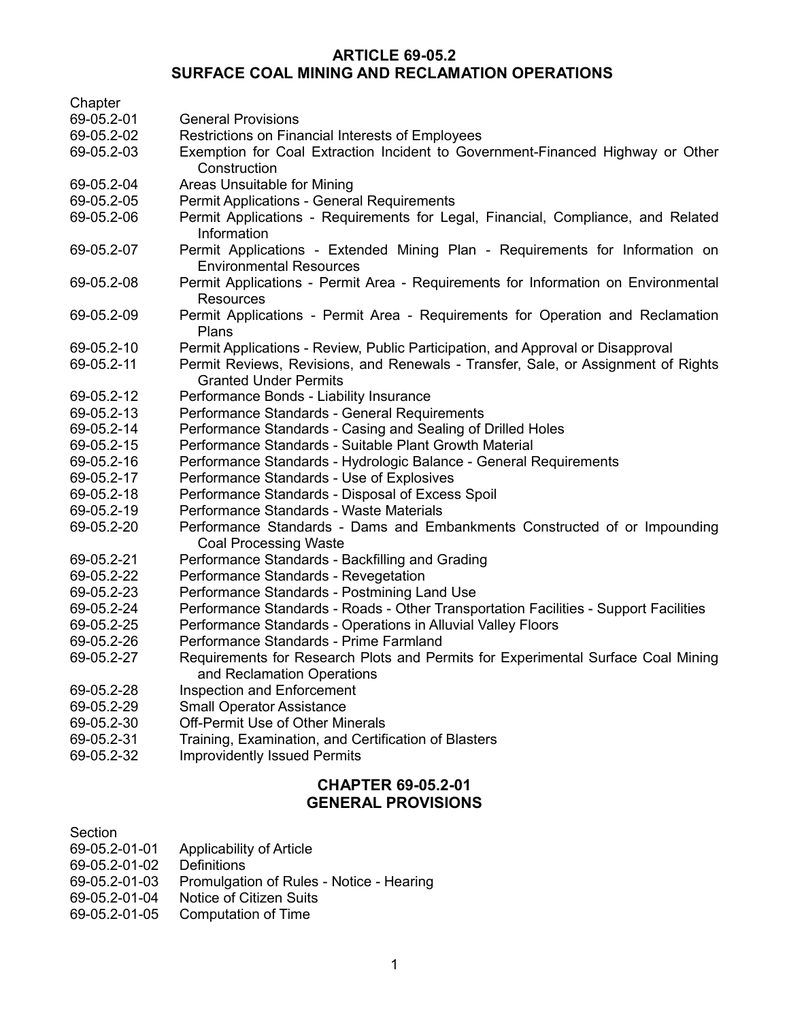## **ARTICLE 69-05.2 SURFACE COAL MINING AND RECLAMATION OPERATIONS**

| Chapter                   |                                                                                                                |
|---------------------------|----------------------------------------------------------------------------------------------------------------|
| 69-05.2-01                | <b>General Provisions</b>                                                                                      |
| 69-05.2-02                | Restrictions on Financial Interests of Employees                                                               |
| 69-05.2-03                | Exemption for Coal Extraction Incident to Government-Financed Highway or Other                                 |
|                           | Construction                                                                                                   |
| 69-05.2-04                | Areas Unsuitable for Mining                                                                                    |
| 69-05.2-05                | Permit Applications - General Requirements                                                                     |
| 69-05.2-06                | Permit Applications - Requirements for Legal, Financial, Compliance, and Related<br>Information                |
| 69-05.2-07                | Permit Applications - Extended Mining Plan - Requirements for Information on<br><b>Environmental Resources</b> |
| 69-05.2-08                | Permit Applications - Permit Area - Requirements for Information on Environmental<br><b>Resources</b>          |
| 69-05.2-09                | Permit Applications - Permit Area - Requirements for Operation and Reclamation<br>Plans                        |
| 69-05.2-10                | Permit Applications - Review, Public Participation, and Approval or Disapproval                                |
| 69-05.2-11                | Permit Reviews, Revisions, and Renewals - Transfer, Sale, or Assignment of Rights                              |
|                           | <b>Granted Under Permits</b>                                                                                   |
| 69-05.2-12                | Performance Bonds - Liability Insurance                                                                        |
| 69-05.2-13                | Performance Standards - General Requirements                                                                   |
| 69-05.2-14                | Performance Standards - Casing and Sealing of Drilled Holes                                                    |
| 69-05.2-15                | Performance Standards - Suitable Plant Growth Material                                                         |
| 69-05.2-16                | Performance Standards - Hydrologic Balance - General Requirements                                              |
| 69-05.2-17                | Performance Standards - Use of Explosives                                                                      |
| 69-05.2-18                | Performance Standards - Disposal of Excess Spoil                                                               |
| 69-05.2-19                | Performance Standards - Waste Materials                                                                        |
| 69-05.2-20                | Performance Standards - Dams and Embankments Constructed of or Impounding<br><b>Coal Processing Waste</b>      |
| 69-05.2-21                | Performance Standards - Backfilling and Grading                                                                |
| 69-05.2-22                | Performance Standards - Revegetation                                                                           |
| 69-05.2-23                | Performance Standards - Postmining Land Use                                                                    |
| 69-05.2-24                | Performance Standards - Roads - Other Transportation Facilities - Support Facilities                           |
| 69-05.2-25                | Performance Standards - Operations in Alluvial Valley Floors                                                   |
| 69-05.2-26                | Performance Standards - Prime Farmland                                                                         |
| 69-05.2-27                | Requirements for Research Plots and Permits for Experimental Surface Coal Mining<br>and Reclamation Operations |
| 69-05.2-28                | <b>Inspection and Enforcement</b>                                                                              |
| 69-05.2-29                | <b>Small Operator Assistance</b>                                                                               |
| 69-05.2-30                | <b>Off-Permit Use of Other Minerals</b>                                                                        |
| 69-05.2-31                | Training, Examination, and Certification of Blasters                                                           |
| 69-05.2-32                | <b>Improvidently Issued Permits</b>                                                                            |
| <b>CHAPTER 69-05.2-01</b> |                                                                                                                |

# **GENERAL PROVISIONS**

- 69-05.2-01-01 Applicability of Article
- 69-05.2-01-02 Definitions
- 69-05.2-01-03 Promulgation of Rules Notice Hearing
- 69-05.2-01-04 Notice of Citizen Suits
- 69-05.2-01-05 Computation of Time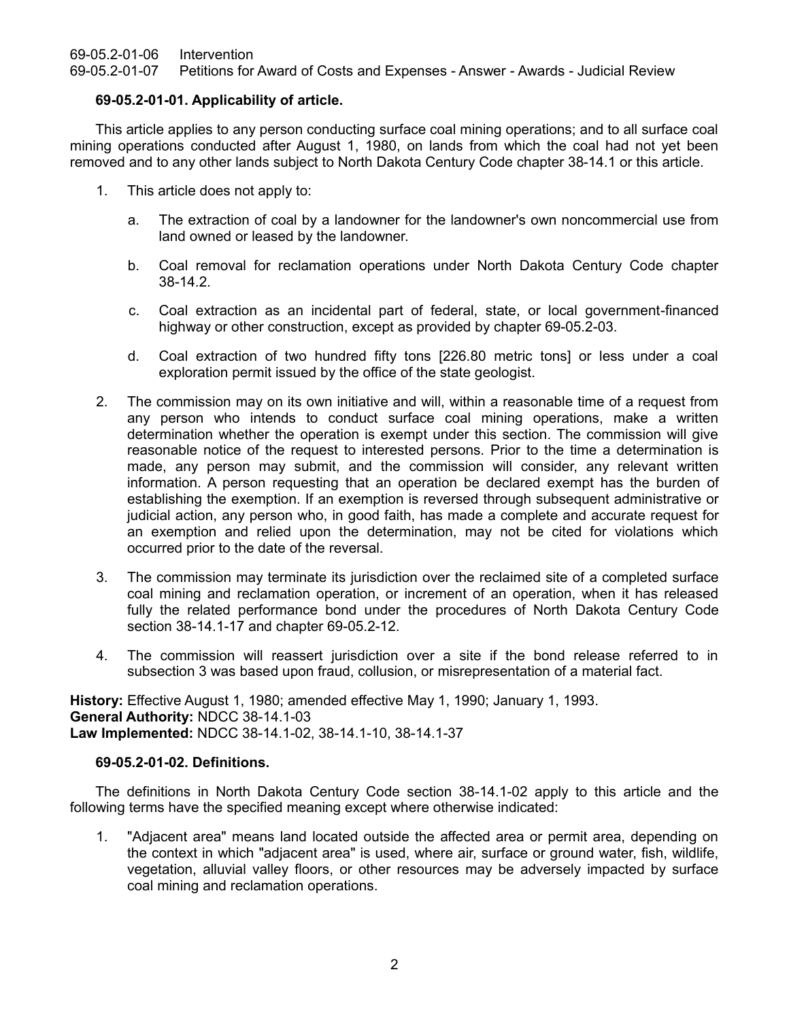69-05.2-01-06 Intervention

69-05.2-01-07 Petitions for Award of Costs and Expenses - Answer - Awards - Judicial Review

## **69-05.2-01-01. Applicability of article.**

This article applies to any person conducting surface coal mining operations; and to all surface coal mining operations conducted after August 1, 1980, on lands from which the coal had not yet been removed and to any other lands subject to North Dakota Century Code chapter 38-14.1 or this article.

- 1. This article does not apply to:
	- a. The extraction of coal by a landowner for the landowner's own noncommercial use from land owned or leased by the landowner.
	- b. Coal removal for reclamation operations under North Dakota Century Code chapter 38-14.2.
	- c. Coal extraction as an incidental part of federal, state, or local government-financed highway or other construction, except as provided by chapter 69-05.2-03.
	- d. Coal extraction of two hundred fifty tons [226.80 metric tons] or less under a coal exploration permit issued by the office of the state geologist.
- 2. The commission may on its own initiative and will, within a reasonable time of a request from any person who intends to conduct surface coal mining operations, make a written determination whether the operation is exempt under this section. The commission will give reasonable notice of the request to interested persons. Prior to the time a determination is made, any person may submit, and the commission will consider, any relevant written information. A person requesting that an operation be declared exempt has the burden of establishing the exemption. If an exemption is reversed through subsequent administrative or judicial action, any person who, in good faith, has made a complete and accurate request for an exemption and relied upon the determination, may not be cited for violations which occurred prior to the date of the reversal.
- 3. The commission may terminate its jurisdiction over the reclaimed site of a completed surface coal mining and reclamation operation, or increment of an operation, when it has released fully the related performance bond under the procedures of North Dakota Century Code section 38-14.1-17 and chapter 69-05.2-12.
- 4. The commission will reassert jurisdiction over a site if the bond release referred to in subsection 3 was based upon fraud, collusion, or misrepresentation of a material fact.

**History:** Effective August 1, 1980; amended effective May 1, 1990; January 1, 1993. **General Authority:** NDCC 38-14.1-03 **Law Implemented:** NDCC 38-14.1-02, 38-14.1-10, 38-14.1-37

## **69-05.2-01-02. Definitions.**

The definitions in North Dakota Century Code section 38-14.1-02 apply to this article and the following terms have the specified meaning except where otherwise indicated:

1. "Adjacent area" means land located outside the affected area or permit area, depending on the context in which "adjacent area" is used, where air, surface or ground water, fish, wildlife, vegetation, alluvial valley floors, or other resources may be adversely impacted by surface coal mining and reclamation operations.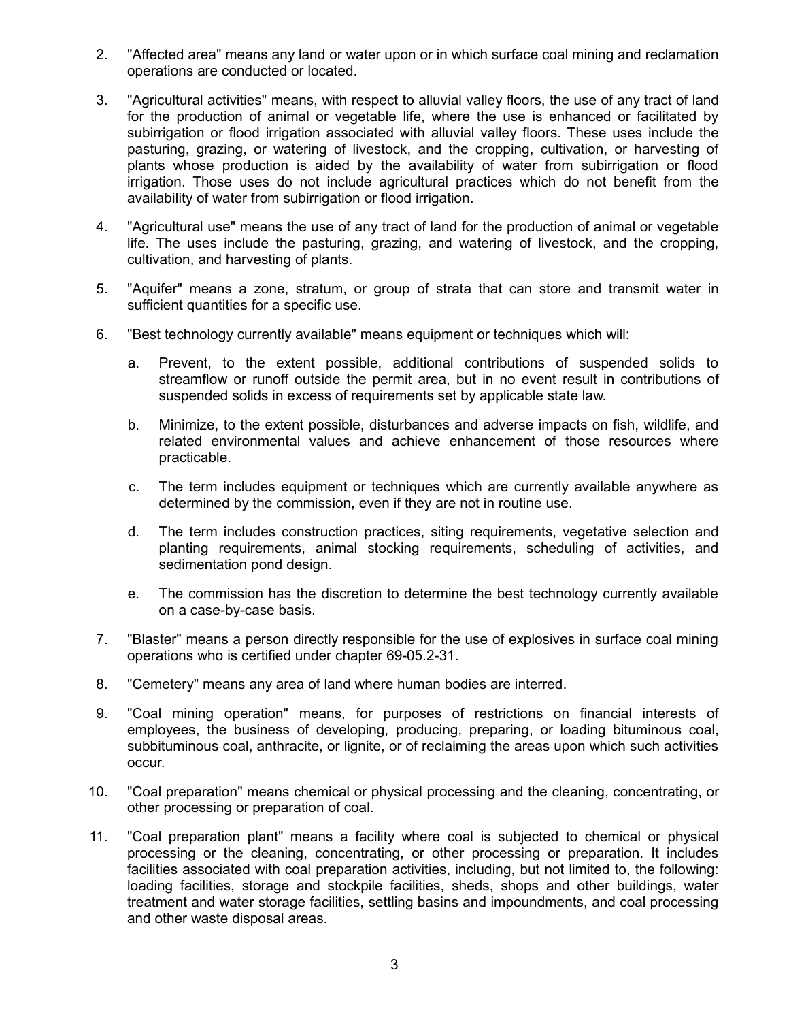- 2. "Affected area" means any land or water upon or in which surface coal mining and reclamation operations are conducted or located.
- 3. "Agricultural activities" means, with respect to alluvial valley floors, the use of any tract of land for the production of animal or vegetable life, where the use is enhanced or facilitated by subirrigation or flood irrigation associated with alluvial valley floors. These uses include the pasturing, grazing, or watering of livestock, and the cropping, cultivation, or harvesting of plants whose production is aided by the availability of water from subirrigation or flood irrigation. Those uses do not include agricultural practices which do not benefit from the availability of water from subirrigation or flood irrigation.
- 4. "Agricultural use" means the use of any tract of land for the production of animal or vegetable life. The uses include the pasturing, grazing, and watering of livestock, and the cropping, cultivation, and harvesting of plants.
- 5. "Aquifer" means a zone, stratum, or group of strata that can store and transmit water in sufficient quantities for a specific use.
- 6. "Best technology currently available" means equipment or techniques which will:
	- a. Prevent, to the extent possible, additional contributions of suspended solids to streamflow or runoff outside the permit area, but in no event result in contributions of suspended solids in excess of requirements set by applicable state law.
	- b. Minimize, to the extent possible, disturbances and adverse impacts on fish, wildlife, and related environmental values and achieve enhancement of those resources where practicable.
	- c. The term includes equipment or techniques which are currently available anywhere as determined by the commission, even if they are not in routine use.
	- d. The term includes construction practices, siting requirements, vegetative selection and planting requirements, animal stocking requirements, scheduling of activities, and sedimentation pond design.
	- e. The commission has the discretion to determine the best technology currently available on a case-by-case basis.
- 7. "Blaster" means a person directly responsible for the use of explosives in surface coal mining operations who is certified under chapter 69-05.2-31.
- 8. "Cemetery" means any area of land where human bodies are interred.
- 9. "Coal mining operation" means, for purposes of restrictions on financial interests of employees, the business of developing, producing, preparing, or loading bituminous coal, subbituminous coal, anthracite, or lignite, or of reclaiming the areas upon which such activities occur.
- 10. "Coal preparation" means chemical or physical processing and the cleaning, concentrating, or other processing or preparation of coal.
- 11. "Coal preparation plant" means a facility where coal is subjected to chemical or physical processing or the cleaning, concentrating, or other processing or preparation. It includes facilities associated with coal preparation activities, including, but not limited to, the following: loading facilities, storage and stockpile facilities, sheds, shops and other buildings, water treatment and water storage facilities, settling basins and impoundments, and coal processing and other waste disposal areas.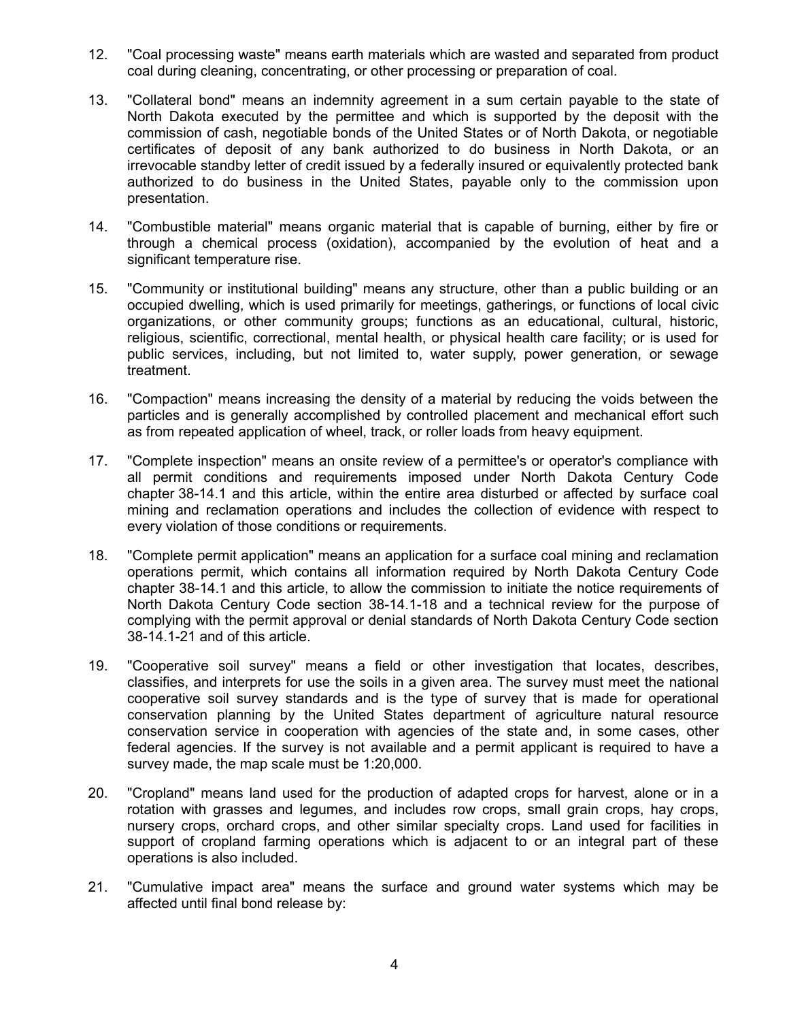- 12. "Coal processing waste" means earth materials which are wasted and separated from product coal during cleaning, concentrating, or other processing or preparation of coal.
- 13. "Collateral bond" means an indemnity agreement in a sum certain payable to the state of North Dakota executed by the permittee and which is supported by the deposit with the commission of cash, negotiable bonds of the United States or of North Dakota, or negotiable certificates of deposit of any bank authorized to do business in North Dakota, or an irrevocable standby letter of credit issued by a federally insured or equivalently protected bank authorized to do business in the United States, payable only to the commission upon presentation.
- 14. "Combustible material" means organic material that is capable of burning, either by fire or through a chemical process (oxidation), accompanied by the evolution of heat and a significant temperature rise.
- 15. "Community or institutional building" means any structure, other than a public building or an occupied dwelling, which is used primarily for meetings, gatherings, or functions of local civic organizations, or other community groups; functions as an educational, cultural, historic, religious, scientific, correctional, mental health, or physical health care facility; or is used for public services, including, but not limited to, water supply, power generation, or sewage treatment.
- 16. "Compaction" means increasing the density of a material by reducing the voids between the particles and is generally accomplished by controlled placement and mechanical effort such as from repeated application of wheel, track, or roller loads from heavy equipment.
- 17. "Complete inspection" means an onsite review of a permittee's or operator's compliance with all permit conditions and requirements imposed under North Dakota Century Code chapter 38-14.1 and this article, within the entire area disturbed or affected by surface coal mining and reclamation operations and includes the collection of evidence with respect to every violation of those conditions or requirements.
- 18. "Complete permit application" means an application for a surface coal mining and reclamation operations permit, which contains all information required by North Dakota Century Code chapter 38-14.1 and this article, to allow the commission to initiate the notice requirements of North Dakota Century Code section 38-14.1-18 and a technical review for the purpose of complying with the permit approval or denial standards of North Dakota Century Code section 38-14.1-21 and of this article.
- 19. "Cooperative soil survey" means a field or other investigation that locates, describes, classifies, and interprets for use the soils in a given area. The survey must meet the national cooperative soil survey standards and is the type of survey that is made for operational conservation planning by the United States department of agriculture natural resource conservation service in cooperation with agencies of the state and, in some cases, other federal agencies. If the survey is not available and a permit applicant is required to have a survey made, the map scale must be 1:20,000.
- 20. "Cropland" means land used for the production of adapted crops for harvest, alone or in a rotation with grasses and legumes, and includes row crops, small grain crops, hay crops, nursery crops, orchard crops, and other similar specialty crops. Land used for facilities in support of cropland farming operations which is adjacent to or an integral part of these operations is also included.
- 21. "Cumulative impact area" means the surface and ground water systems which may be affected until final bond release by: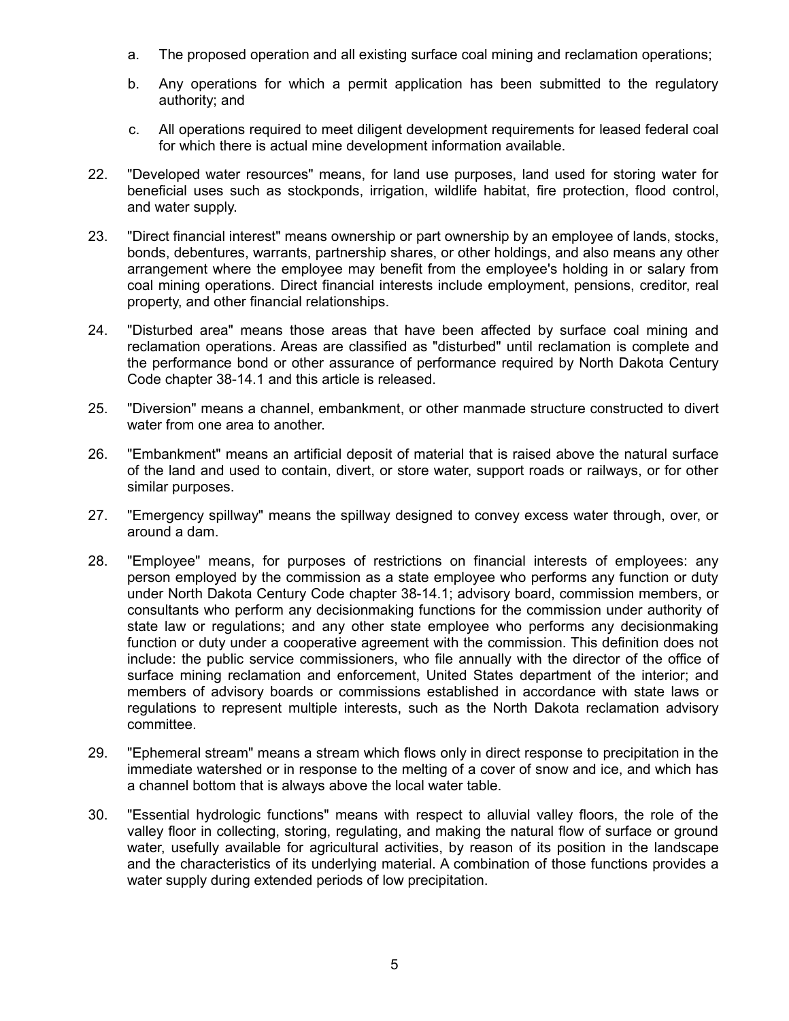- a. The proposed operation and all existing surface coal mining and reclamation operations;
- b. Any operations for which a permit application has been submitted to the regulatory authority; and
- c. All operations required to meet diligent development requirements for leased federal coal for which there is actual mine development information available.
- 22. "Developed water resources" means, for land use purposes, land used for storing water for beneficial uses such as stockponds, irrigation, wildlife habitat, fire protection, flood control, and water supply.
- 23. "Direct financial interest" means ownership or part ownership by an employee of lands, stocks, bonds, debentures, warrants, partnership shares, or other holdings, and also means any other arrangement where the employee may benefit from the employee's holding in or salary from coal mining operations. Direct financial interests include employment, pensions, creditor, real property, and other financial relationships.
- 24. "Disturbed area" means those areas that have been affected by surface coal mining and reclamation operations. Areas are classified as "disturbed" until reclamation is complete and the performance bond or other assurance of performance required by North Dakota Century Code chapter 38-14.1 and this article is released.
- 25. "Diversion" means a channel, embankment, or other manmade structure constructed to divert water from one area to another.
- 26. "Embankment" means an artificial deposit of material that is raised above the natural surface of the land and used to contain, divert, or store water, support roads or railways, or for other similar purposes.
- 27. "Emergency spillway" means the spillway designed to convey excess water through, over, or around a dam.
- 28. "Employee" means, for purposes of restrictions on financial interests of employees: any person employed by the commission as a state employee who performs any function or duty under North Dakota Century Code chapter 38-14.1; advisory board, commission members, or consultants who perform any decisionmaking functions for the commission under authority of state law or regulations; and any other state employee who performs any decisionmaking function or duty under a cooperative agreement with the commission. This definition does not include: the public service commissioners, who file annually with the director of the office of surface mining reclamation and enforcement, United States department of the interior; and members of advisory boards or commissions established in accordance with state laws or regulations to represent multiple interests, such as the North Dakota reclamation advisory committee.
- 29. "Ephemeral stream" means a stream which flows only in direct response to precipitation in the immediate watershed or in response to the melting of a cover of snow and ice, and which has a channel bottom that is always above the local water table.
- 30. "Essential hydrologic functions" means with respect to alluvial valley floors, the role of the valley floor in collecting, storing, regulating, and making the natural flow of surface or ground water, usefully available for agricultural activities, by reason of its position in the landscape and the characteristics of its underlying material. A combination of those functions provides a water supply during extended periods of low precipitation.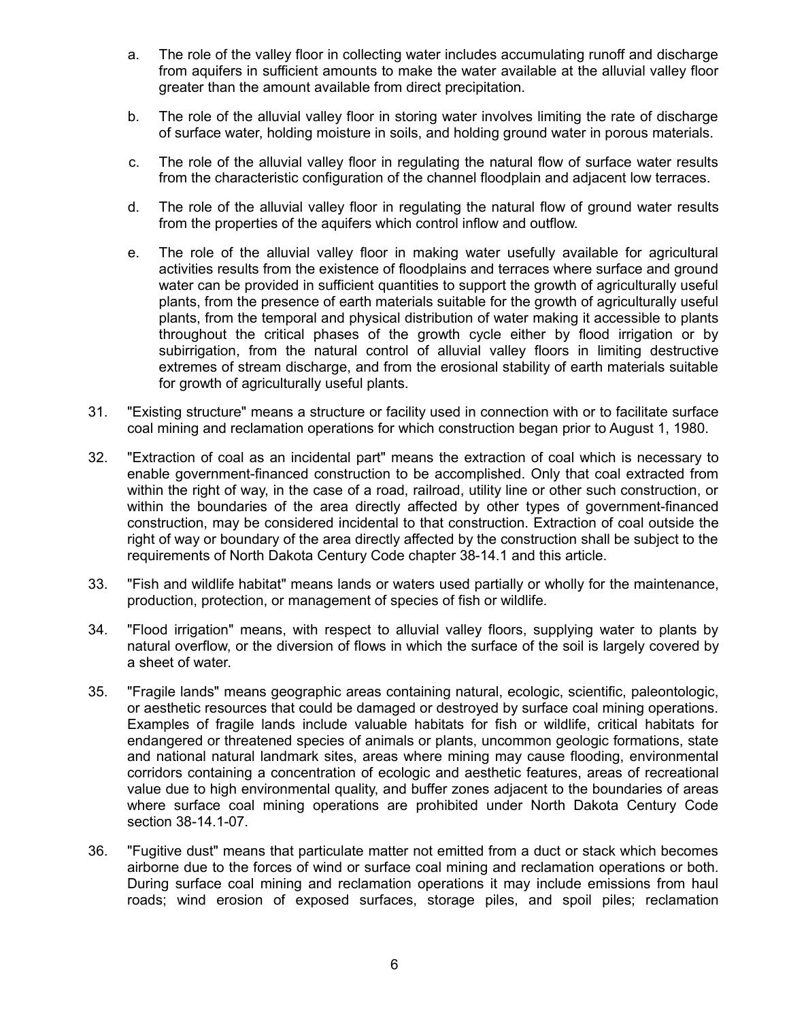- a. The role of the valley floor in collecting water includes accumulating runoff and discharge from aquifers in sufficient amounts to make the water available at the alluvial valley floor greater than the amount available from direct precipitation.
- b. The role of the alluvial valley floor in storing water involves limiting the rate of discharge of surface water, holding moisture in soils, and holding ground water in porous materials.
- c. The role of the alluvial valley floor in regulating the natural flow of surface water results from the characteristic configuration of the channel floodplain and adjacent low terraces.
- d. The role of the alluvial valley floor in regulating the natural flow of ground water results from the properties of the aquifers which control inflow and outflow.
- e. The role of the alluvial valley floor in making water usefully available for agricultural activities results from the existence of floodplains and terraces where surface and ground water can be provided in sufficient quantities to support the growth of agriculturally useful plants, from the presence of earth materials suitable for the growth of agriculturally useful plants, from the temporal and physical distribution of water making it accessible to plants throughout the critical phases of the growth cycle either by flood irrigation or by subirrigation, from the natural control of alluvial valley floors in limiting destructive extremes of stream discharge, and from the erosional stability of earth materials suitable for growth of agriculturally useful plants.
- 31. "Existing structure" means a structure or facility used in connection with or to facilitate surface coal mining and reclamation operations for which construction began prior to August 1, 1980.
- 32. "Extraction of coal as an incidental part" means the extraction of coal which is necessary to enable government-financed construction to be accomplished. Only that coal extracted from within the right of way, in the case of a road, railroad, utility line or other such construction, or within the boundaries of the area directly affected by other types of government-financed construction, may be considered incidental to that construction. Extraction of coal outside the right of way or boundary of the area directly affected by the construction shall be subject to the requirements of North Dakota Century Code chapter 38-14.1 and this article.
- 33. "Fish and wildlife habitat" means lands or waters used partially or wholly for the maintenance, production, protection, or management of species of fish or wildlife.
- 34. "Flood irrigation" means, with respect to alluvial valley floors, supplying water to plants by natural overflow, or the diversion of flows in which the surface of the soil is largely covered by a sheet of water.
- 35. "Fragile lands" means geographic areas containing natural, ecologic, scientific, paleontologic, or aesthetic resources that could be damaged or destroyed by surface coal mining operations. Examples of fragile lands include valuable habitats for fish or wildlife, critical habitats for endangered or threatened species of animals or plants, uncommon geologic formations, state and national natural landmark sites, areas where mining may cause flooding, environmental corridors containing a concentration of ecologic and aesthetic features, areas of recreational value due to high environmental quality, and buffer zones adjacent to the boundaries of areas where surface coal mining operations are prohibited under North Dakota Century Code section 38-14.1-07.
- 36. "Fugitive dust" means that particulate matter not emitted from a duct or stack which becomes airborne due to the forces of wind or surface coal mining and reclamation operations or both. During surface coal mining and reclamation operations it may include emissions from haul roads; wind erosion of exposed surfaces, storage piles, and spoil piles; reclamation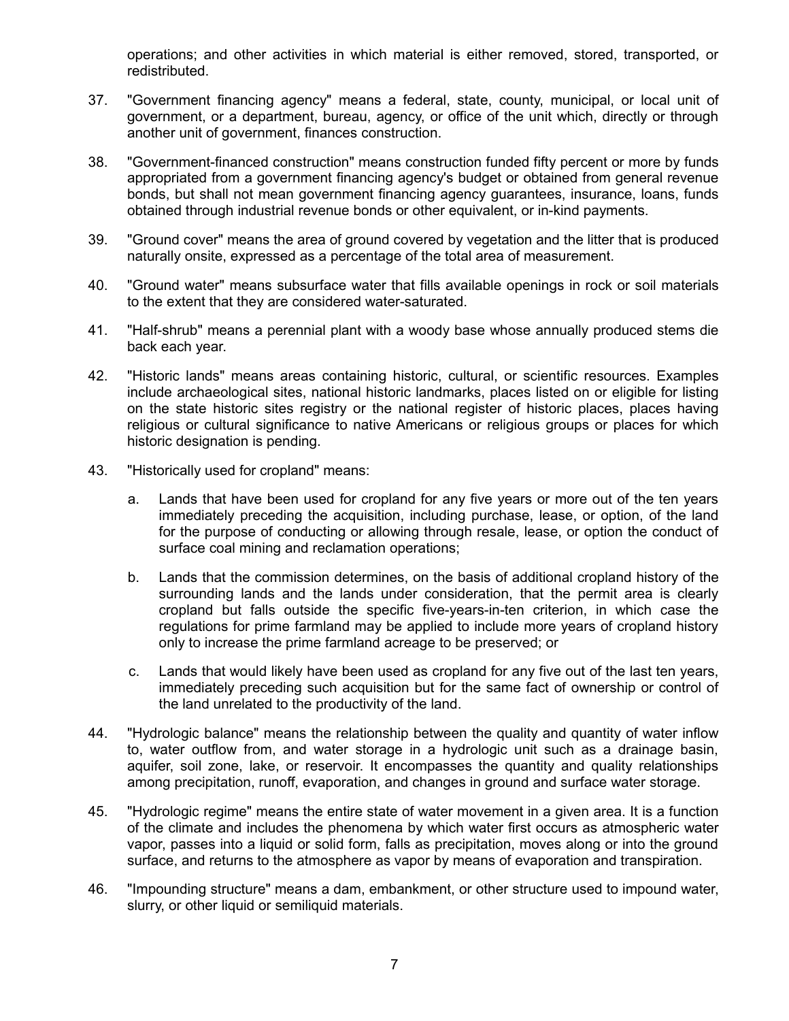operations; and other activities in which material is either removed, stored, transported, or redistributed.

- 37. "Government financing agency" means a federal, state, county, municipal, or local unit of government, or a department, bureau, agency, or office of the unit which, directly or through another unit of government, finances construction.
- 38. "Government-financed construction" means construction funded fifty percent or more by funds appropriated from a government financing agency's budget or obtained from general revenue bonds, but shall not mean government financing agency guarantees, insurance, loans, funds obtained through industrial revenue bonds or other equivalent, or in-kind payments.
- 39. "Ground cover" means the area of ground covered by vegetation and the litter that is produced naturally onsite, expressed as a percentage of the total area of measurement.
- 40. "Ground water" means subsurface water that fills available openings in rock or soil materials to the extent that they are considered water-saturated.
- 41. "Half-shrub" means a perennial plant with a woody base whose annually produced stems die back each year.
- 42. "Historic lands" means areas containing historic, cultural, or scientific resources. Examples include archaeological sites, national historic landmarks, places listed on or eligible for listing on the state historic sites registry or the national register of historic places, places having religious or cultural significance to native Americans or religious groups or places for which historic designation is pending.
- 43. "Historically used for cropland" means:
	- a. Lands that have been used for cropland for any five years or more out of the ten years immediately preceding the acquisition, including purchase, lease, or option, of the land for the purpose of conducting or allowing through resale, lease, or option the conduct of surface coal mining and reclamation operations;
	- b. Lands that the commission determines, on the basis of additional cropland history of the surrounding lands and the lands under consideration, that the permit area is clearly cropland but falls outside the specific five-years-in-ten criterion, in which case the regulations for prime farmland may be applied to include more years of cropland history only to increase the prime farmland acreage to be preserved; or
	- c. Lands that would likely have been used as cropland for any five out of the last ten years, immediately preceding such acquisition but for the same fact of ownership or control of the land unrelated to the productivity of the land.
- 44. "Hydrologic balance" means the relationship between the quality and quantity of water inflow to, water outflow from, and water storage in a hydrologic unit such as a drainage basin, aquifer, soil zone, lake, or reservoir. It encompasses the quantity and quality relationships among precipitation, runoff, evaporation, and changes in ground and surface water storage.
- 45. "Hydrologic regime" means the entire state of water movement in a given area. It is a function of the climate and includes the phenomena by which water first occurs as atmospheric water vapor, passes into a liquid or solid form, falls as precipitation, moves along or into the ground surface, and returns to the atmosphere as vapor by means of evaporation and transpiration.
- 46. "Impounding structure" means a dam, embankment, or other structure used to impound water, slurry, or other liquid or semiliquid materials.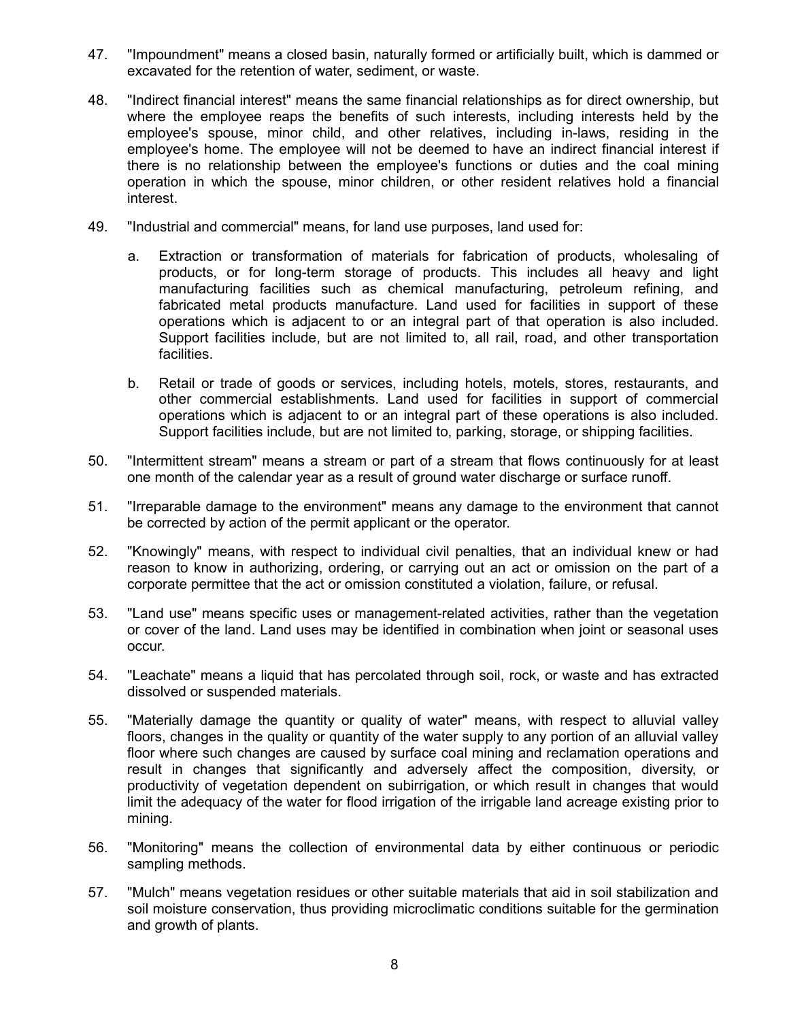- 47. "Impoundment" means a closed basin, naturally formed or artificially built, which is dammed or excavated for the retention of water, sediment, or waste.
- 48. "Indirect financial interest" means the same financial relationships as for direct ownership, but where the employee reaps the benefits of such interests, including interests held by the employee's spouse, minor child, and other relatives, including in-laws, residing in the employee's home. The employee will not be deemed to have an indirect financial interest if there is no relationship between the employee's functions or duties and the coal mining operation in which the spouse, minor children, or other resident relatives hold a financial interest.
- 49. "Industrial and commercial" means, for land use purposes, land used for:
	- a. Extraction or transformation of materials for fabrication of products, wholesaling of products, or for long-term storage of products. This includes all heavy and light manufacturing facilities such as chemical manufacturing, petroleum refining, and fabricated metal products manufacture. Land used for facilities in support of these operations which is adjacent to or an integral part of that operation is also included. Support facilities include, but are not limited to, all rail, road, and other transportation facilities.
	- b. Retail or trade of goods or services, including hotels, motels, stores, restaurants, and other commercial establishments. Land used for facilities in support of commercial operations which is adjacent to or an integral part of these operations is also included. Support facilities include, but are not limited to, parking, storage, or shipping facilities.
- 50. "Intermittent stream" means a stream or part of a stream that flows continuously for at least one month of the calendar year as a result of ground water discharge or surface runoff.
- 51. "Irreparable damage to the environment" means any damage to the environment that cannot be corrected by action of the permit applicant or the operator.
- 52. "Knowingly" means, with respect to individual civil penalties, that an individual knew or had reason to know in authorizing, ordering, or carrying out an act or omission on the part of a corporate permittee that the act or omission constituted a violation, failure, or refusal.
- 53. "Land use" means specific uses or management-related activities, rather than the vegetation or cover of the land. Land uses may be identified in combination when joint or seasonal uses occur.
- 54. "Leachate" means a liquid that has percolated through soil, rock, or waste and has extracted dissolved or suspended materials.
- 55. "Materially damage the quantity or quality of water" means, with respect to alluvial valley floors, changes in the quality or quantity of the water supply to any portion of an alluvial valley floor where such changes are caused by surface coal mining and reclamation operations and result in changes that significantly and adversely affect the composition, diversity, or productivity of vegetation dependent on subirrigation, or which result in changes that would limit the adequacy of the water for flood irrigation of the irrigable land acreage existing prior to mining.
- 56. "Monitoring" means the collection of environmental data by either continuous or periodic sampling methods.
- 57. "Mulch" means vegetation residues or other suitable materials that aid in soil stabilization and soil moisture conservation, thus providing microclimatic conditions suitable for the germination and growth of plants.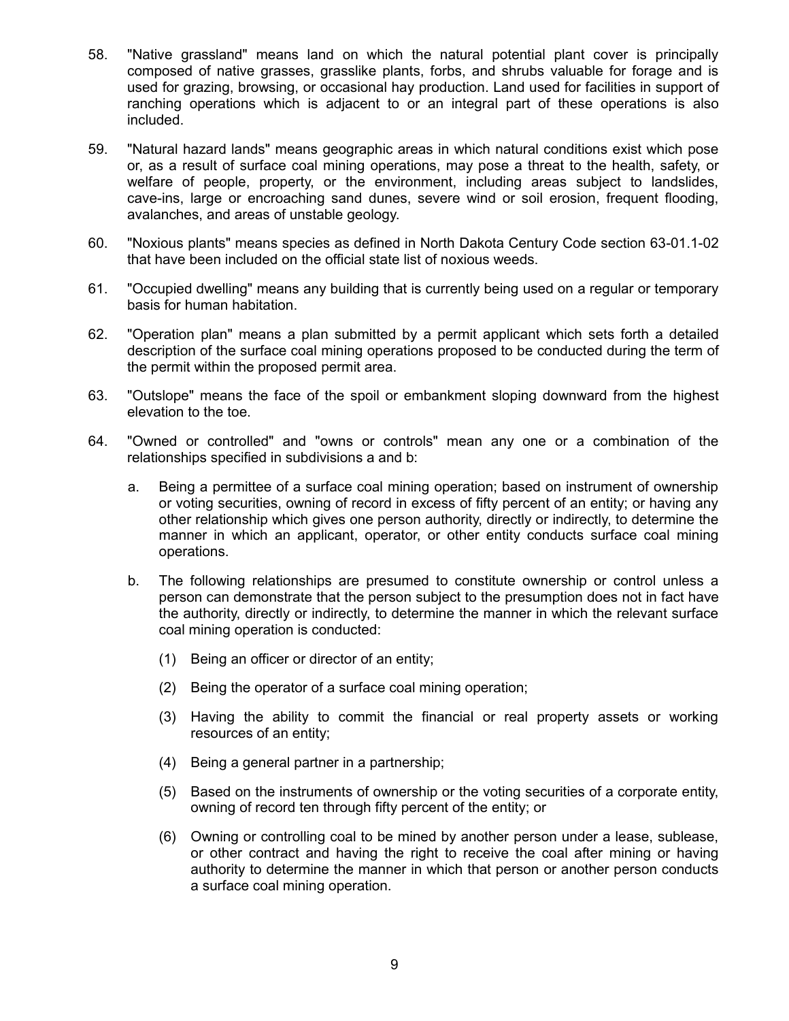- 58. "Native grassland" means land on which the natural potential plant cover is principally composed of native grasses, grasslike plants, forbs, and shrubs valuable for forage and is used for grazing, browsing, or occasional hay production. Land used for facilities in support of ranching operations which is adjacent to or an integral part of these operations is also included.
- 59. "Natural hazard lands" means geographic areas in which natural conditions exist which pose or, as a result of surface coal mining operations, may pose a threat to the health, safety, or welfare of people, property, or the environment, including areas subject to landslides, cave-ins, large or encroaching sand dunes, severe wind or soil erosion, frequent flooding, avalanches, and areas of unstable geology.
- 60. "Noxious plants" means species as defined in North Dakota Century Code section 63-01.1-02 that have been included on the official state list of noxious weeds.
- 61. "Occupied dwelling" means any building that is currently being used on a regular or temporary basis for human habitation.
- 62. "Operation plan" means a plan submitted by a permit applicant which sets forth a detailed description of the surface coal mining operations proposed to be conducted during the term of the permit within the proposed permit area.
- 63. "Outslope" means the face of the spoil or embankment sloping downward from the highest elevation to the toe.
- 64. "Owned or controlled" and "owns or controls" mean any one or a combination of the relationships specified in subdivisions a and b:
	- a. Being a permittee of a surface coal mining operation; based on instrument of ownership or voting securities, owning of record in excess of fifty percent of an entity; or having any other relationship which gives one person authority, directly or indirectly, to determine the manner in which an applicant, operator, or other entity conducts surface coal mining operations.
	- b. The following relationships are presumed to constitute ownership or control unless a person can demonstrate that the person subject to the presumption does not in fact have the authority, directly or indirectly, to determine the manner in which the relevant surface coal mining operation is conducted:
		- (1) Being an officer or director of an entity;
		- (2) Being the operator of a surface coal mining operation;
		- (3) Having the ability to commit the financial or real property assets or working resources of an entity;
		- (4) Being a general partner in a partnership;
		- (5) Based on the instruments of ownership or the voting securities of a corporate entity, owning of record ten through fifty percent of the entity; or
		- (6) Owning or controlling coal to be mined by another person under a lease, sublease, or other contract and having the right to receive the coal after mining or having authority to determine the manner in which that person or another person conducts a surface coal mining operation.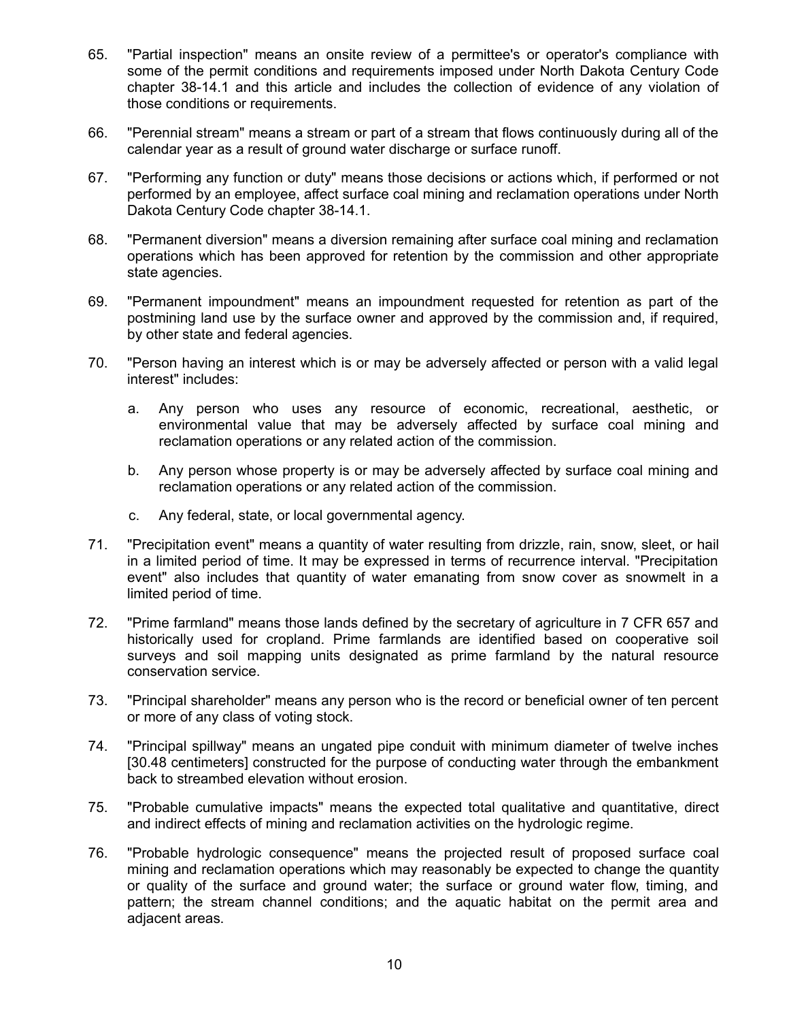- 65. "Partial inspection" means an onsite review of a permittee's or operator's compliance with some of the permit conditions and requirements imposed under North Dakota Century Code chapter 38-14.1 and this article and includes the collection of evidence of any violation of those conditions or requirements.
- 66. "Perennial stream" means a stream or part of a stream that flows continuously during all of the calendar year as a result of ground water discharge or surface runoff.
- 67. "Performing any function or duty" means those decisions or actions which, if performed or not performed by an employee, affect surface coal mining and reclamation operations under North Dakota Century Code chapter 38-14.1.
- 68. "Permanent diversion" means a diversion remaining after surface coal mining and reclamation operations which has been approved for retention by the commission and other appropriate state agencies.
- 69. "Permanent impoundment" means an impoundment requested for retention as part of the postmining land use by the surface owner and approved by the commission and, if required, by other state and federal agencies.
- 70. "Person having an interest which is or may be adversely affected or person with a valid legal interest" includes:
	- a. Any person who uses any resource of economic, recreational, aesthetic, or environmental value that may be adversely affected by surface coal mining and reclamation operations or any related action of the commission.
	- b. Any person whose property is or may be adversely affected by surface coal mining and reclamation operations or any related action of the commission.
	- c. Any federal, state, or local governmental agency.
- 71. "Precipitation event" means a quantity of water resulting from drizzle, rain, snow, sleet, or hail in a limited period of time. It may be expressed in terms of recurrence interval. "Precipitation event" also includes that quantity of water emanating from snow cover as snowmelt in a limited period of time.
- 72. "Prime farmland" means those lands defined by the secretary of agriculture in 7 CFR 657 and historically used for cropland. Prime farmlands are identified based on cooperative soil surveys and soil mapping units designated as prime farmland by the natural resource conservation service.
- 73. "Principal shareholder" means any person who is the record or beneficial owner of ten percent or more of any class of voting stock.
- 74. "Principal spillway" means an ungated pipe conduit with minimum diameter of twelve inches [30.48 centimeters] constructed for the purpose of conducting water through the embankment back to streambed elevation without erosion.
- 75. "Probable cumulative impacts" means the expected total qualitative and quantitative, direct and indirect effects of mining and reclamation activities on the hydrologic regime.
- 76. "Probable hydrologic consequence" means the projected result of proposed surface coal mining and reclamation operations which may reasonably be expected to change the quantity or quality of the surface and ground water; the surface or ground water flow, timing, and pattern; the stream channel conditions; and the aquatic habitat on the permit area and adjacent areas.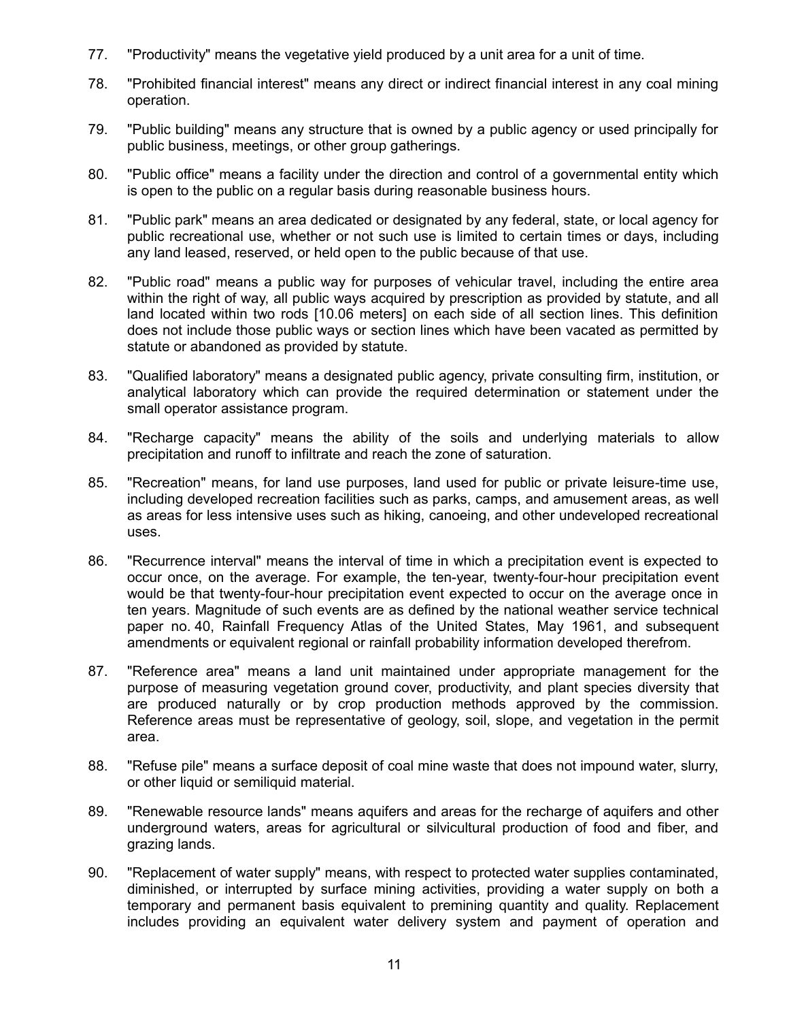- 77. "Productivity" means the vegetative yield produced by a unit area for a unit of time.
- 78. "Prohibited financial interest" means any direct or indirect financial interest in any coal mining operation.
- 79. "Public building" means any structure that is owned by a public agency or used principally for public business, meetings, or other group gatherings.
- 80. "Public office" means a facility under the direction and control of a governmental entity which is open to the public on a regular basis during reasonable business hours.
- 81. "Public park" means an area dedicated or designated by any federal, state, or local agency for public recreational use, whether or not such use is limited to certain times or days, including any land leased, reserved, or held open to the public because of that use.
- 82. "Public road" means a public way for purposes of vehicular travel, including the entire area within the right of way, all public ways acquired by prescription as provided by statute, and all land located within two rods [10.06 meters] on each side of all section lines. This definition does not include those public ways or section lines which have been vacated as permitted by statute or abandoned as provided by statute.
- 83. "Qualified laboratory" means a designated public agency, private consulting firm, institution, or analytical laboratory which can provide the required determination or statement under the small operator assistance program.
- 84. "Recharge capacity" means the ability of the soils and underlying materials to allow precipitation and runoff to infiltrate and reach the zone of saturation.
- 85. "Recreation" means, for land use purposes, land used for public or private leisure-time use, including developed recreation facilities such as parks, camps, and amusement areas, as well as areas for less intensive uses such as hiking, canoeing, and other undeveloped recreational uses.
- 86. "Recurrence interval" means the interval of time in which a precipitation event is expected to occur once, on the average. For example, the ten-year, twenty-four-hour precipitation event would be that twenty-four-hour precipitation event expected to occur on the average once in ten years. Magnitude of such events are as defined by the national weather service technical paper no. 40, Rainfall Frequency Atlas of the United States, May 1961, and subsequent amendments or equivalent regional or rainfall probability information developed therefrom.
- 87. "Reference area" means a land unit maintained under appropriate management for the purpose of measuring vegetation ground cover, productivity, and plant species diversity that are produced naturally or by crop production methods approved by the commission. Reference areas must be representative of geology, soil, slope, and vegetation in the permit area.
- 88. "Refuse pile" means a surface deposit of coal mine waste that does not impound water, slurry, or other liquid or semiliquid material.
- 89. "Renewable resource lands" means aquifers and areas for the recharge of aquifers and other underground waters, areas for agricultural or silvicultural production of food and fiber, and grazing lands.
- 90. "Replacement of water supply" means, with respect to protected water supplies contaminated, diminished, or interrupted by surface mining activities, providing a water supply on both a temporary and permanent basis equivalent to premining quantity and quality. Replacement includes providing an equivalent water delivery system and payment of operation and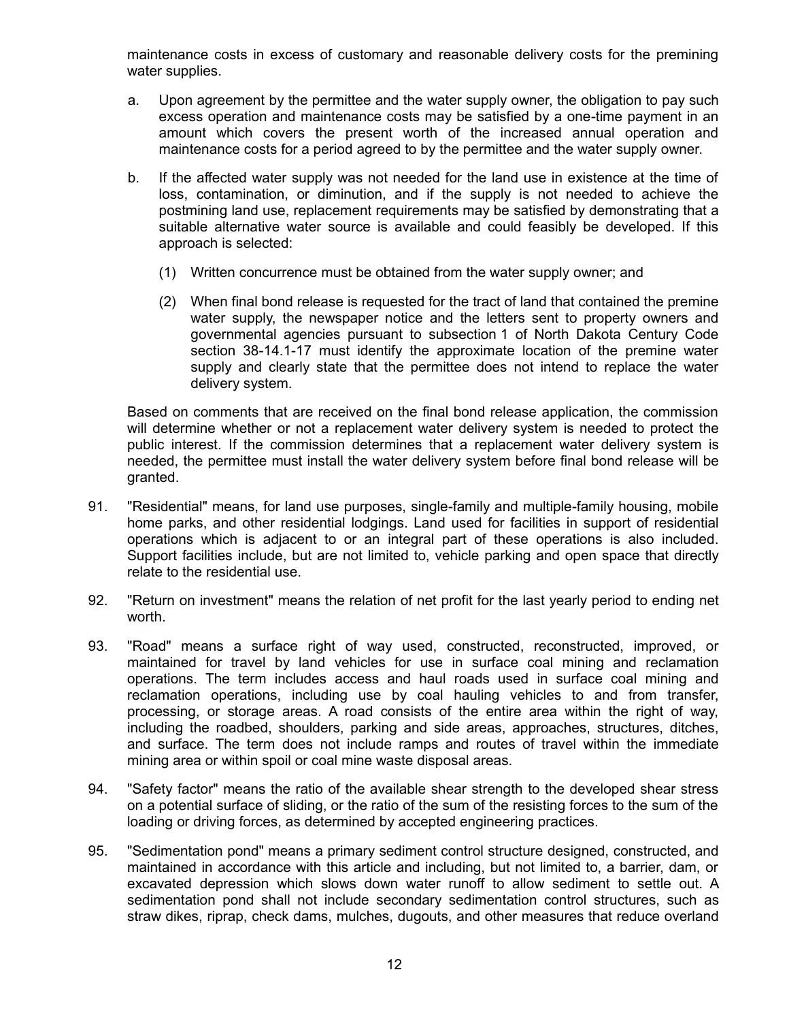maintenance costs in excess of customary and reasonable delivery costs for the premining water supplies.

- a. Upon agreement by the permittee and the water supply owner, the obligation to pay such excess operation and maintenance costs may be satisfied by a one-time payment in an amount which covers the present worth of the increased annual operation and maintenance costs for a period agreed to by the permittee and the water supply owner.
- b. If the affected water supply was not needed for the land use in existence at the time of loss, contamination, or diminution, and if the supply is not needed to achieve the postmining land use, replacement requirements may be satisfied by demonstrating that a suitable alternative water source is available and could feasibly be developed. If this approach is selected:
	- (1) Written concurrence must be obtained from the water supply owner; and
	- (2) When final bond release is requested for the tract of land that contained the premine water supply, the newspaper notice and the letters sent to property owners and governmental agencies pursuant to subsection 1 of North Dakota Century Code section 38-14.1-17 must identify the approximate location of the premine water supply and clearly state that the permittee does not intend to replace the water delivery system.

Based on comments that are received on the final bond release application, the commission will determine whether or not a replacement water delivery system is needed to protect the public interest. If the commission determines that a replacement water delivery system is needed, the permittee must install the water delivery system before final bond release will be granted.

- 91. "Residential" means, for land use purposes, single-family and multiple-family housing, mobile home parks, and other residential lodgings. Land used for facilities in support of residential operations which is adjacent to or an integral part of these operations is also included. Support facilities include, but are not limited to, vehicle parking and open space that directly relate to the residential use.
- 92. "Return on investment" means the relation of net profit for the last yearly period to ending net worth.
- 93. "Road" means a surface right of way used, constructed, reconstructed, improved, or maintained for travel by land vehicles for use in surface coal mining and reclamation operations. The term includes access and haul roads used in surface coal mining and reclamation operations, including use by coal hauling vehicles to and from transfer, processing, or storage areas. A road consists of the entire area within the right of way, including the roadbed, shoulders, parking and side areas, approaches, structures, ditches, and surface. The term does not include ramps and routes of travel within the immediate mining area or within spoil or coal mine waste disposal areas.
- 94. "Safety factor" means the ratio of the available shear strength to the developed shear stress on a potential surface of sliding, or the ratio of the sum of the resisting forces to the sum of the loading or driving forces, as determined by accepted engineering practices.
- 95. "Sedimentation pond" means a primary sediment control structure designed, constructed, and maintained in accordance with this article and including, but not limited to, a barrier, dam, or excavated depression which slows down water runoff to allow sediment to settle out. A sedimentation pond shall not include secondary sedimentation control structures, such as straw dikes, riprap, check dams, mulches, dugouts, and other measures that reduce overland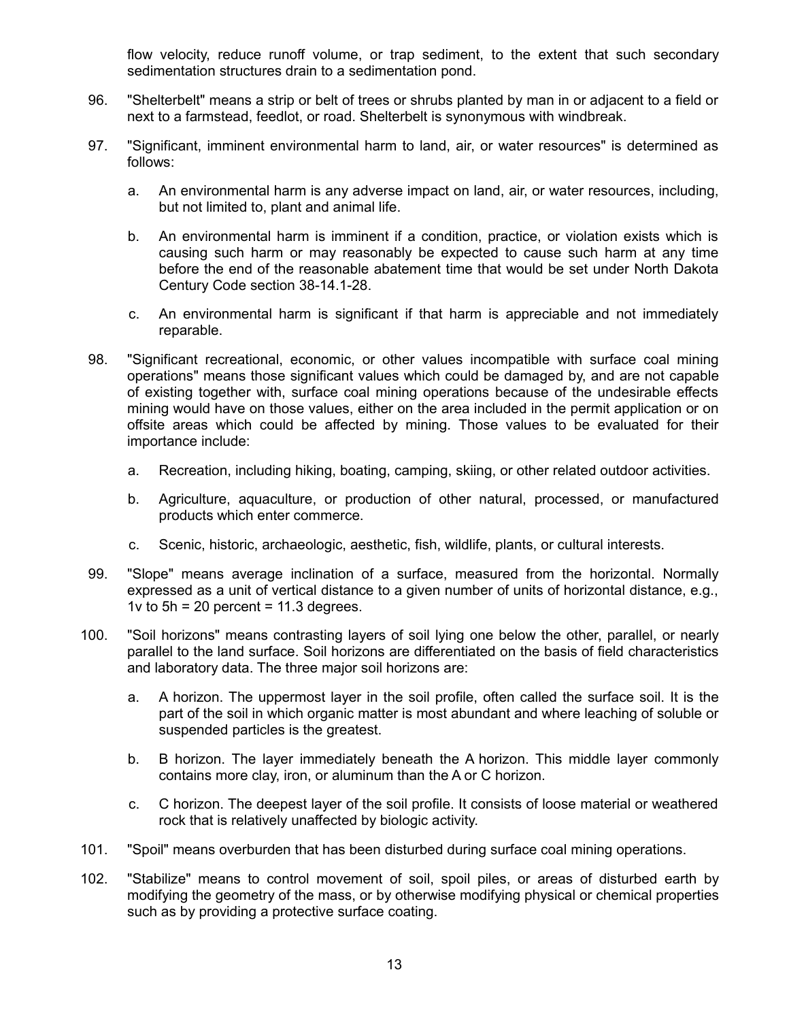flow velocity, reduce runoff volume, or trap sediment, to the extent that such secondary sedimentation structures drain to a sedimentation pond.

- 96. "Shelterbelt" means a strip or belt of trees or shrubs planted by man in or adjacent to a field or next to a farmstead, feedlot, or road. Shelterbelt is synonymous with windbreak.
- 97. "Significant, imminent environmental harm to land, air, or water resources" is determined as follows:
	- a. An environmental harm is any adverse impact on land, air, or water resources, including, but not limited to, plant and animal life.
	- b. An environmental harm is imminent if a condition, practice, or violation exists which is causing such harm or may reasonably be expected to cause such harm at any time before the end of the reasonable abatement time that would be set under North Dakota Century Code section 38-14.1-28.
	- c. An environmental harm is significant if that harm is appreciable and not immediately reparable.
- 98. "Significant recreational, economic, or other values incompatible with surface coal mining operations" means those significant values which could be damaged by, and are not capable of existing together with, surface coal mining operations because of the undesirable effects mining would have on those values, either on the area included in the permit application or on offsite areas which could be affected by mining. Those values to be evaluated for their importance include:
	- a. Recreation, including hiking, boating, camping, skiing, or other related outdoor activities.
	- b. Agriculture, aquaculture, or production of other natural, processed, or manufactured products which enter commerce.
	- c. Scenic, historic, archaeologic, aesthetic, fish, wildlife, plants, or cultural interests.
- 99. "Slope" means average inclination of a surface, measured from the horizontal. Normally expressed as a unit of vertical distance to a given number of units of horizontal distance, e.g., 1 $\upsilon$  to 5h = 20 percent = 11.3 degrees.
- 100. "Soil horizons" means contrasting layers of soil lying one below the other, parallel, or nearly parallel to the land surface. Soil horizons are differentiated on the basis of field characteristics and laboratory data. The three major soil horizons are:
	- a. A horizon. The uppermost layer in the soil profile, often called the surface soil. It is the part of the soil in which organic matter is most abundant and where leaching of soluble or suspended particles is the greatest.
	- b. B horizon. The layer immediately beneath the A horizon. This middle layer commonly contains more clay, iron, or aluminum than the A or C horizon.
	- c. C horizon. The deepest layer of the soil profile. It consists of loose material or weathered rock that is relatively unaffected by biologic activity.
- 101. "Spoil" means overburden that has been disturbed during surface coal mining operations.
- 102. "Stabilize" means to control movement of soil, spoil piles, or areas of disturbed earth by modifying the geometry of the mass, or by otherwise modifying physical or chemical properties such as by providing a protective surface coating.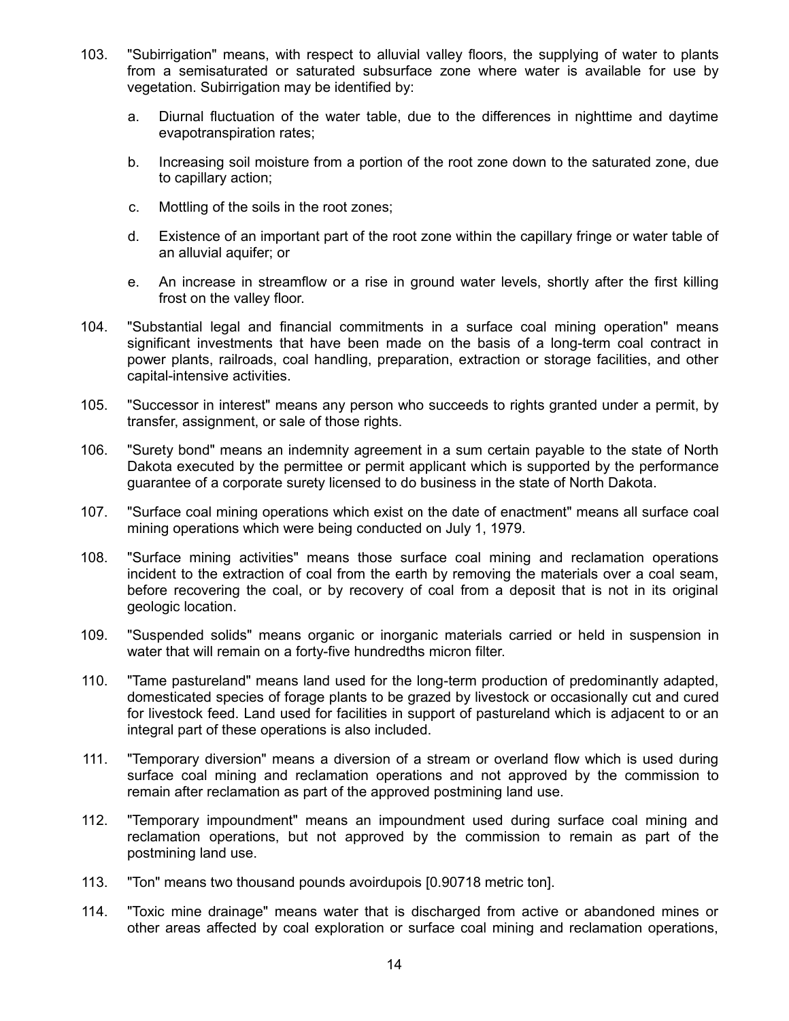- 103. "Subirrigation" means, with respect to alluvial valley floors, the supplying of water to plants from a semisaturated or saturated subsurface zone where water is available for use by vegetation. Subirrigation may be identified by:
	- a. Diurnal fluctuation of the water table, due to the differences in nighttime and daytime evapotranspiration rates;
	- b. Increasing soil moisture from a portion of the root zone down to the saturated zone, due to capillary action;
	- c. Mottling of the soils in the root zones;
	- d. Existence of an important part of the root zone within the capillary fringe or water table of an alluvial aquifer; or
	- e. An increase in streamflow or a rise in ground water levels, shortly after the first killing frost on the valley floor.
- 104. "Substantial legal and financial commitments in a surface coal mining operation" means significant investments that have been made on the basis of a long-term coal contract in power plants, railroads, coal handling, preparation, extraction or storage facilities, and other capital-intensive activities.
- 105. "Successor in interest" means any person who succeeds to rights granted under a permit, by transfer, assignment, or sale of those rights.
- 106. "Surety bond" means an indemnity agreement in a sum certain payable to the state of North Dakota executed by the permittee or permit applicant which is supported by the performance guarantee of a corporate surety licensed to do business in the state of North Dakota.
- 107. "Surface coal mining operations which exist on the date of enactment" means all surface coal mining operations which were being conducted on July 1, 1979.
- 108. "Surface mining activities" means those surface coal mining and reclamation operations incident to the extraction of coal from the earth by removing the materials over a coal seam, before recovering the coal, or by recovery of coal from a deposit that is not in its original geologic location.
- 109. "Suspended solids" means organic or inorganic materials carried or held in suspension in water that will remain on a forty-five hundredths micron filter.
- 110. "Tame pastureland" means land used for the long-term production of predominantly adapted, domesticated species of forage plants to be grazed by livestock or occasionally cut and cured for livestock feed. Land used for facilities in support of pastureland which is adjacent to or an integral part of these operations is also included.
- 111. "Temporary diversion" means a diversion of a stream or overland flow which is used during surface coal mining and reclamation operations and not approved by the commission to remain after reclamation as part of the approved postmining land use.
- 112. "Temporary impoundment" means an impoundment used during surface coal mining and reclamation operations, but not approved by the commission to remain as part of the postmining land use.
- 113. "Ton" means two thousand pounds avoirdupois [0.90718 metric ton].
- 114. "Toxic mine drainage" means water that is discharged from active or abandoned mines or other areas affected by coal exploration or surface coal mining and reclamation operations,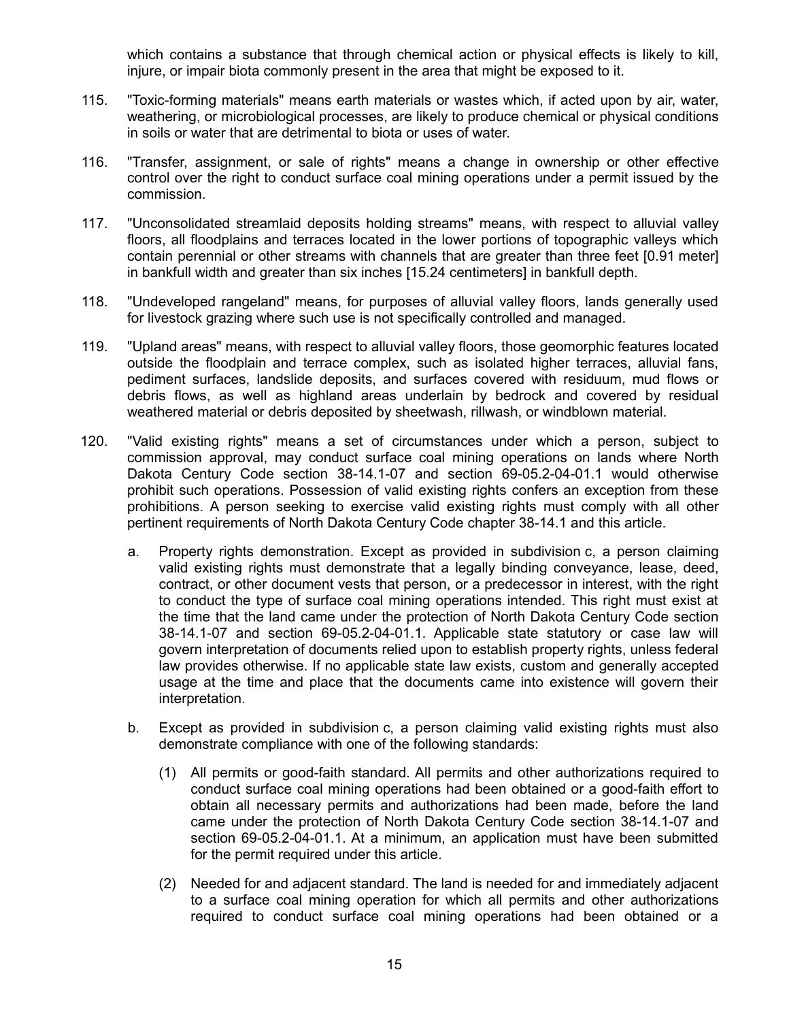which contains a substance that through chemical action or physical effects is likely to kill, injure, or impair biota commonly present in the area that might be exposed to it.

- 115. "Toxic-forming materials" means earth materials or wastes which, if acted upon by air, water, weathering, or microbiological processes, are likely to produce chemical or physical conditions in soils or water that are detrimental to biota or uses of water.
- 116. "Transfer, assignment, or sale of rights" means a change in ownership or other effective control over the right to conduct surface coal mining operations under a permit issued by the commission.
- 117. "Unconsolidated streamlaid deposits holding streams" means, with respect to alluvial valley floors, all floodplains and terraces located in the lower portions of topographic valleys which contain perennial or other streams with channels that are greater than three feet [0.91 meter] in bankfull width and greater than six inches [15.24 centimeters] in bankfull depth.
- 118. "Undeveloped rangeland" means, for purposes of alluvial valley floors, lands generally used for livestock grazing where such use is not specifically controlled and managed.
- 119. "Upland areas" means, with respect to alluvial valley floors, those geomorphic features located outside the floodplain and terrace complex, such as isolated higher terraces, alluvial fans, pediment surfaces, landslide deposits, and surfaces covered with residuum, mud flows or debris flows, as well as highland areas underlain by bedrock and covered by residual weathered material or debris deposited by sheetwash, rillwash, or windblown material.
- 120. "Valid existing rights" means a set of circumstances under which a person, subject to commission approval, may conduct surface coal mining operations on lands where North Dakota Century Code section 38-14.1-07 and section 69-05.2-04-01.1 would otherwise prohibit such operations. Possession of valid existing rights confers an exception from these prohibitions. A person seeking to exercise valid existing rights must comply with all other pertinent requirements of North Dakota Century Code chapter 38-14.1 and this article.
	- a. Property rights demonstration. Except as provided in subdivision c, a person claiming valid existing rights must demonstrate that a legally binding conveyance, lease, deed, contract, or other document vests that person, or a predecessor in interest, with the right to conduct the type of surface coal mining operations intended. This right must exist at the time that the land came under the protection of North Dakota Century Code section 38-14.1-07 and section 69-05.2-04-01.1. Applicable state statutory or case law will govern interpretation of documents relied upon to establish property rights, unless federal law provides otherwise. If no applicable state law exists, custom and generally accepted usage at the time and place that the documents came into existence will govern their interpretation.
	- b. Except as provided in subdivision c, a person claiming valid existing rights must also demonstrate compliance with one of the following standards:
		- (1) All permits or good-faith standard. All permits and other authorizations required to conduct surface coal mining operations had been obtained or a good-faith effort to obtain all necessary permits and authorizations had been made, before the land came under the protection of North Dakota Century Code section 38-14.1-07 and section 69-05.2-04-01.1. At a minimum, an application must have been submitted for the permit required under this article.
		- (2) Needed for and adjacent standard. The land is needed for and immediately adjacent to a surface coal mining operation for which all permits and other authorizations required to conduct surface coal mining operations had been obtained or a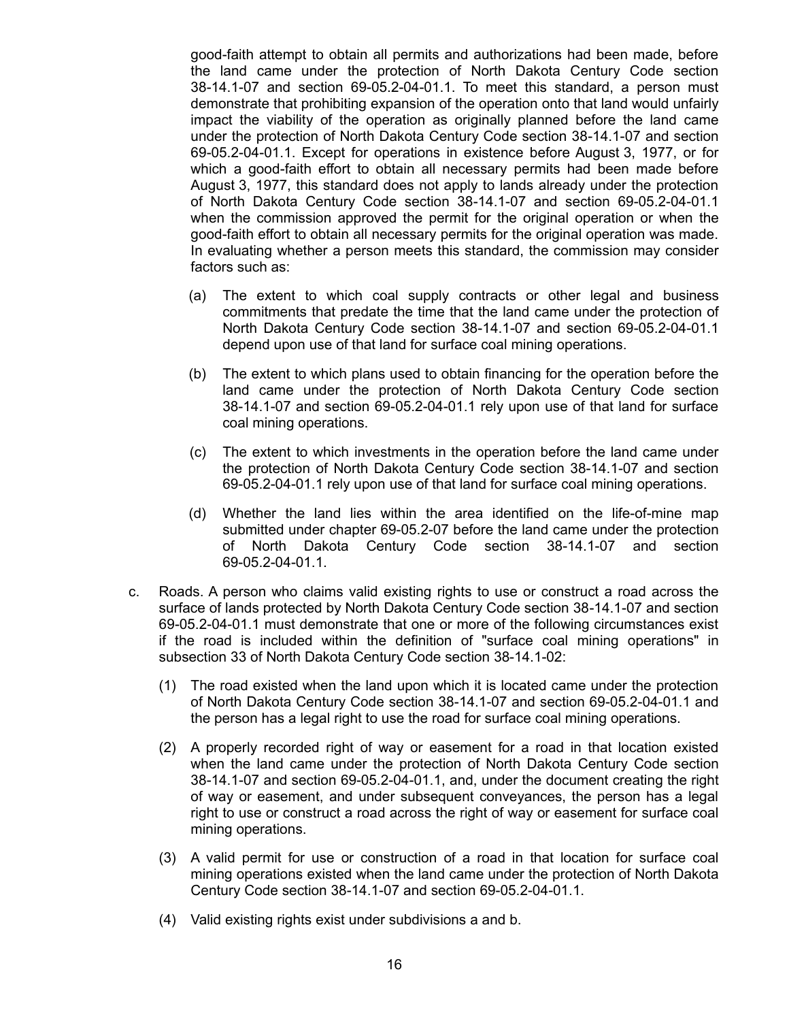good-faith attempt to obtain all permits and authorizations had been made, before the land came under the protection of North Dakota Century Code section 38-14.1-07 and section 69-05.2-04-01.1. To meet this standard, a person must demonstrate that prohibiting expansion of the operation onto that land would unfairly impact the viability of the operation as originally planned before the land came under the protection of North Dakota Century Code section 38-14.1-07 and section 69-05.2-04-01.1. Except for operations in existence before August 3, 1977, or for which a good-faith effort to obtain all necessary permits had been made before August 3, 1977, this standard does not apply to lands already under the protection of North Dakota Century Code section 38-14.1-07 and section 69-05.2-04-01.1 when the commission approved the permit for the original operation or when the good-faith effort to obtain all necessary permits for the original operation was made. In evaluating whether a person meets this standard, the commission may consider factors such as:

- (a) The extent to which coal supply contracts or other legal and business commitments that predate the time that the land came under the protection of North Dakota Century Code section 38-14.1-07 and section 69-05.2-04-01.1 depend upon use of that land for surface coal mining operations.
- (b) The extent to which plans used to obtain financing for the operation before the land came under the protection of North Dakota Century Code section 38-14.1-07 and section 69-05.2-04-01.1 rely upon use of that land for surface coal mining operations.
- (c) The extent to which investments in the operation before the land came under the protection of North Dakota Century Code section 38-14.1-07 and section 69-05.2-04-01.1 rely upon use of that land for surface coal mining operations.
- (d) Whether the land lies within the area identified on the life-of-mine map submitted under chapter 69-05.2-07 before the land came under the protection of North Dakota Century Code section 38-14.1-07 and section 69-05.2-04-01.1.
- c. Roads. A person who claims valid existing rights to use or construct a road across the surface of lands protected by North Dakota Century Code section 38-14.1-07 and section 69-05.2-04-01.1 must demonstrate that one or more of the following circumstances exist if the road is included within the definition of "surface coal mining operations" in subsection 33 of North Dakota Century Code section 38-14.1-02:
	- (1) The road existed when the land upon which it is located came under the protection of North Dakota Century Code section 38-14.1-07 and section 69-05.2-04-01.1 and the person has a legal right to use the road for surface coal mining operations.
	- (2) A properly recorded right of way or easement for a road in that location existed when the land came under the protection of North Dakota Century Code section 38-14.1-07 and section 69-05.2-04-01.1, and, under the document creating the right of way or easement, and under subsequent conveyances, the person has a legal right to use or construct a road across the right of way or easement for surface coal mining operations.
	- (3) A valid permit for use or construction of a road in that location for surface coal mining operations existed when the land came under the protection of North Dakota Century Code section 38-14.1-07 and section 69-05.2-04-01.1.
	- (4) Valid existing rights exist under subdivisions a and b.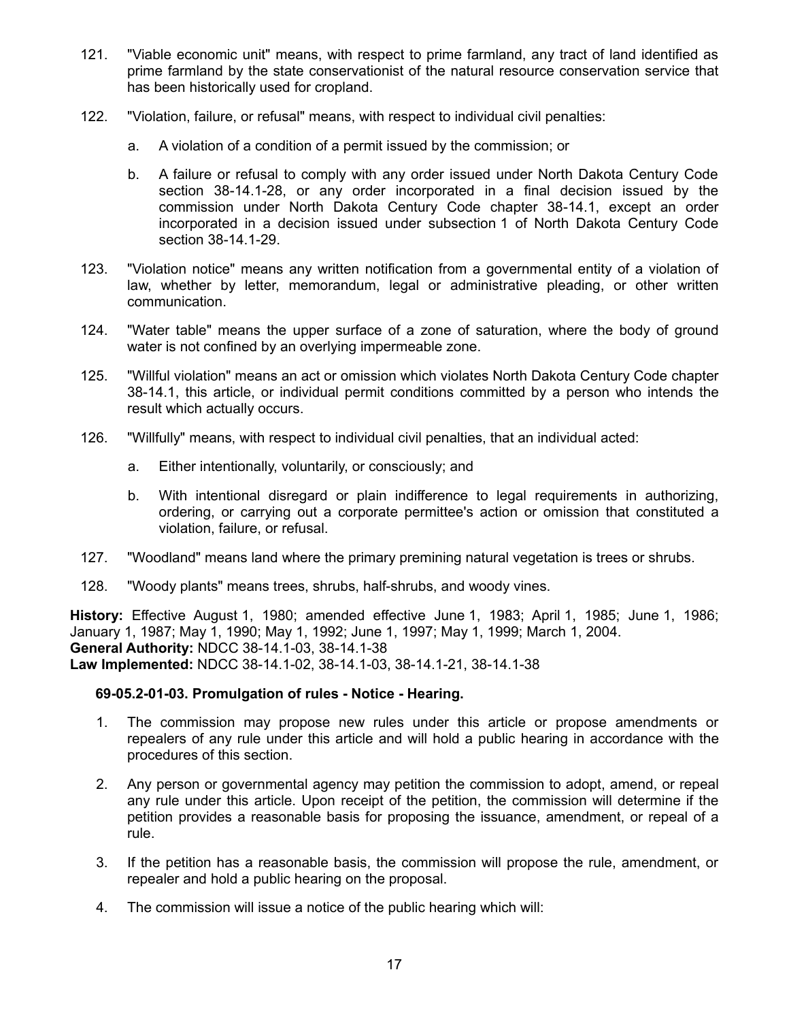- 121. "Viable economic unit" means, with respect to prime farmland, any tract of land identified as prime farmland by the state conservationist of the natural resource conservation service that has been historically used for cropland.
- 122. "Violation, failure, or refusal" means, with respect to individual civil penalties:
	- a. A violation of a condition of a permit issued by the commission; or
	- b. A failure or refusal to comply with any order issued under North Dakota Century Code section 38-14.1-28, or any order incorporated in a final decision issued by the commission under North Dakota Century Code chapter 38-14.1, except an order incorporated in a decision issued under subsection 1 of North Dakota Century Code section 38-14.1-29.
- 123. "Violation notice" means any written notification from a governmental entity of a violation of law, whether by letter, memorandum, legal or administrative pleading, or other written communication.
- 124. "Water table" means the upper surface of a zone of saturation, where the body of ground water is not confined by an overlying impermeable zone.
- 125. "Willful violation" means an act or omission which violates North Dakota Century Code chapter 38-14.1, this article, or individual permit conditions committed by a person who intends the result which actually occurs.
- 126. "Willfully" means, with respect to individual civil penalties, that an individual acted:
	- a. Either intentionally, voluntarily, or consciously; and
	- b. With intentional disregard or plain indifference to legal requirements in authorizing, ordering, or carrying out a corporate permittee's action or omission that constituted a violation, failure, or refusal.
- 127. "Woodland" means land where the primary premining natural vegetation is trees or shrubs.
- 128. "Woody plants" means trees, shrubs, half-shrubs, and woody vines.

**History:** Effective August 1, 1980; amended effective June 1, 1983; April 1, 1985; June 1, 1986; January 1, 1987; May 1, 1990; May 1, 1992; June 1, 1997; May 1, 1999; March 1, 2004. **General Authority:** NDCC 38-14.1-03, 38-14.1-38 **Law Implemented:** NDCC 38-14.1-02, 38-14.1-03, 38-14.1-21, 38-14.1-38

#### **69-05.2-01-03. Promulgation of rules - Notice - Hearing.**

- 1. The commission may propose new rules under this article or propose amendments or repealers of any rule under this article and will hold a public hearing in accordance with the procedures of this section.
- 2. Any person or governmental agency may petition the commission to adopt, amend, or repeal any rule under this article. Upon receipt of the petition, the commission will determine if the petition provides a reasonable basis for proposing the issuance, amendment, or repeal of a rule.
- 3. If the petition has a reasonable basis, the commission will propose the rule, amendment, or repealer and hold a public hearing on the proposal.
- 4. The commission will issue a notice of the public hearing which will: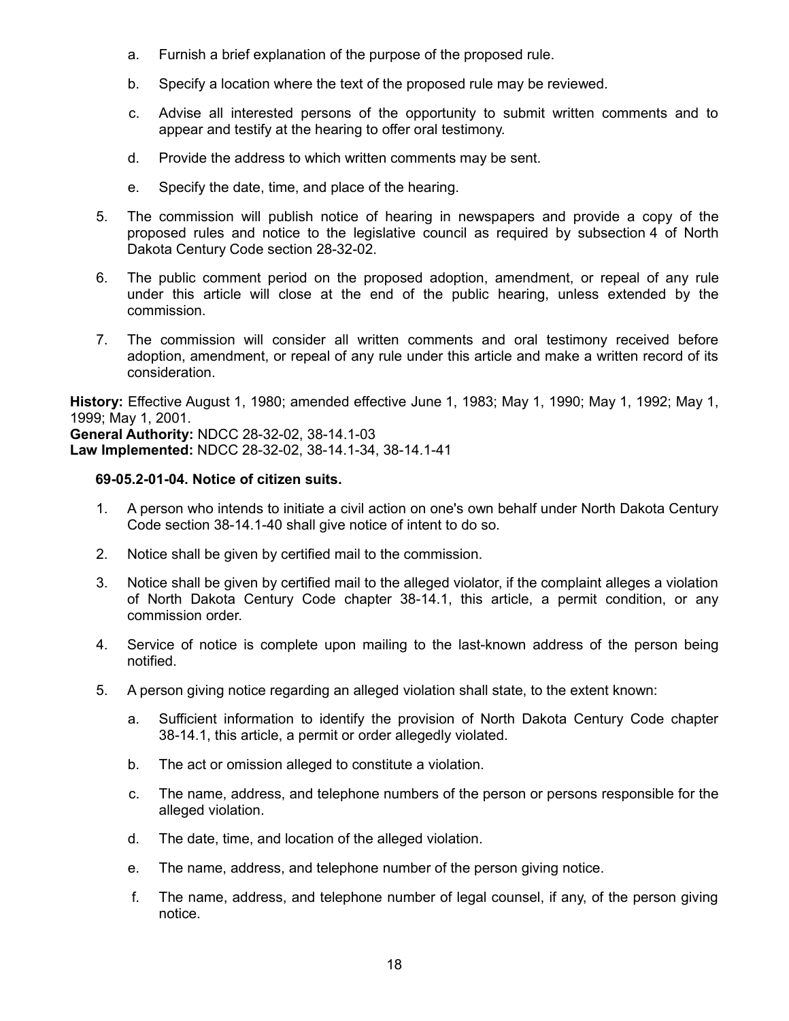- a. Furnish a brief explanation of the purpose of the proposed rule.
- b. Specify a location where the text of the proposed rule may be reviewed.
- c. Advise all interested persons of the opportunity to submit written comments and to appear and testify at the hearing to offer oral testimony.
- d. Provide the address to which written comments may be sent.
- e. Specify the date, time, and place of the hearing.
- 5. The commission will publish notice of hearing in newspapers and provide a copy of the proposed rules and notice to the legislative council as required by subsection 4 of North Dakota Century Code section 28-32-02.
- 6. The public comment period on the proposed adoption, amendment, or repeal of any rule under this article will close at the end of the public hearing, unless extended by the commission.
- 7. The commission will consider all written comments and oral testimony received before adoption, amendment, or repeal of any rule under this article and make a written record of its consideration.

**History:** Effective August 1, 1980; amended effective June 1, 1983; May 1, 1990; May 1, 1992; May 1, 1999; May 1, 2001. **General Authority:** NDCC 28-32-02, 38-14.1-03 **Law Implemented:** NDCC 28-32-02, 38-14.1-34, 38-14.1-41

#### **69-05.2-01-04. Notice of citizen suits.**

- 1. A person who intends to initiate a civil action on one's own behalf under North Dakota Century Code section 38-14.1-40 shall give notice of intent to do so.
- 2. Notice shall be given by certified mail to the commission.
- 3. Notice shall be given by certified mail to the alleged violator, if the complaint alleges a violation of North Dakota Century Code chapter 38-14.1, this article, a permit condition, or any commission order.
- 4. Service of notice is complete upon mailing to the last-known address of the person being notified.
- 5. A person giving notice regarding an alleged violation shall state, to the extent known:
	- a. Sufficient information to identify the provision of North Dakota Century Code chapter 38-14.1, this article, a permit or order allegedly violated.
	- b. The act or omission alleged to constitute a violation.
	- c. The name, address, and telephone numbers of the person or persons responsible for the alleged violation.
	- d. The date, time, and location of the alleged violation.
	- e. The name, address, and telephone number of the person giving notice.
	- f. The name, address, and telephone number of legal counsel, if any, of the person giving notice.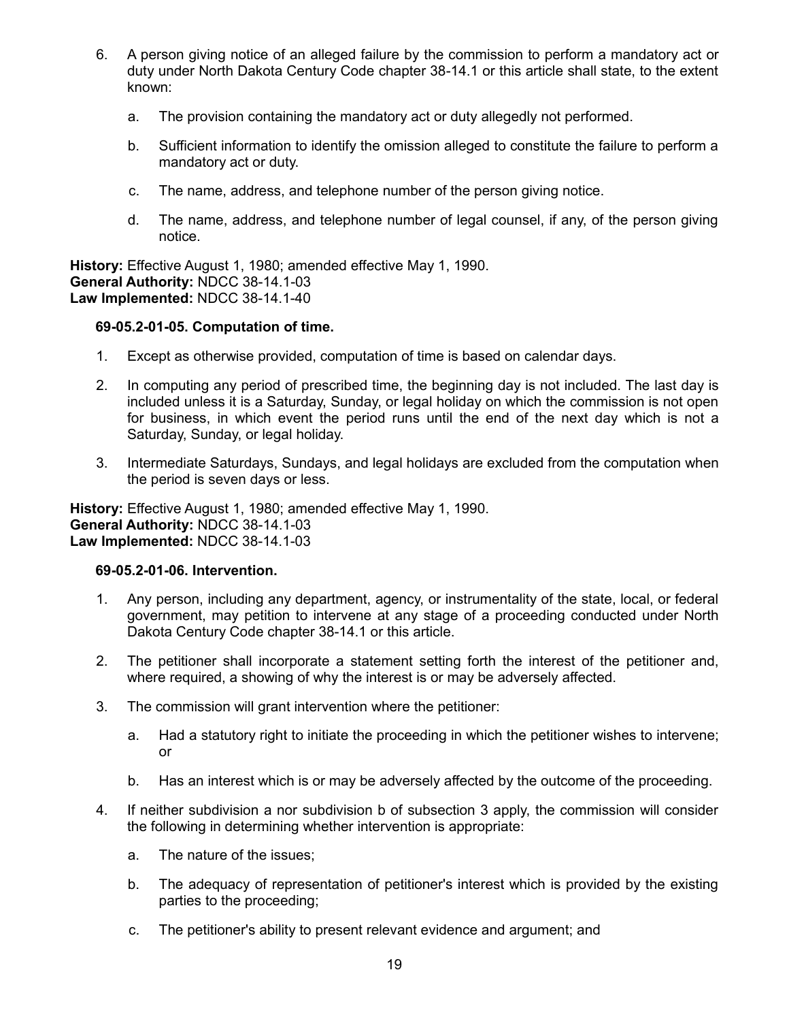- 6. A person giving notice of an alleged failure by the commission to perform a mandatory act or duty under North Dakota Century Code chapter 38-14.1 or this article shall state, to the extent known:
	- a. The provision containing the mandatory act or duty allegedly not performed.
	- b. Sufficient information to identify the omission alleged to constitute the failure to perform a mandatory act or duty.
	- c. The name, address, and telephone number of the person giving notice.
	- d. The name, address, and telephone number of legal counsel, if any, of the person giving notice.

**History:** Effective August 1, 1980; amended effective May 1, 1990. **General Authority:** NDCC 38-14.1-03 **Law Implemented:** NDCC 38-14.1-40

#### **69-05.2-01-05. Computation of time.**

- 1. Except as otherwise provided, computation of time is based on calendar days.
- 2. In computing any period of prescribed time, the beginning day is not included. The last day is included unless it is a Saturday, Sunday, or legal holiday on which the commission is not open for business, in which event the period runs until the end of the next day which is not a Saturday, Sunday, or legal holiday.
- 3. Intermediate Saturdays, Sundays, and legal holidays are excluded from the computation when the period is seven days or less.

**History:** Effective August 1, 1980; amended effective May 1, 1990. **General Authority:** NDCC 38-14.1-03 **Law Implemented:** NDCC 38-14.1-03

#### **69-05.2-01-06. Intervention.**

- 1. Any person, including any department, agency, or instrumentality of the state, local, or federal government, may petition to intervene at any stage of a proceeding conducted under North Dakota Century Code chapter 38-14.1 or this article.
- 2. The petitioner shall incorporate a statement setting forth the interest of the petitioner and, where required, a showing of why the interest is or may be adversely affected.
- 3. The commission will grant intervention where the petitioner:
	- a. Had a statutory right to initiate the proceeding in which the petitioner wishes to intervene; or
	- b. Has an interest which is or may be adversely affected by the outcome of the proceeding.
- 4. If neither subdivision a nor subdivision b of subsection 3 apply, the commission will consider the following in determining whether intervention is appropriate:
	- a. The nature of the issues;
	- b. The adequacy of representation of petitioner's interest which is provided by the existing parties to the proceeding;
	- c. The petitioner's ability to present relevant evidence and argument; and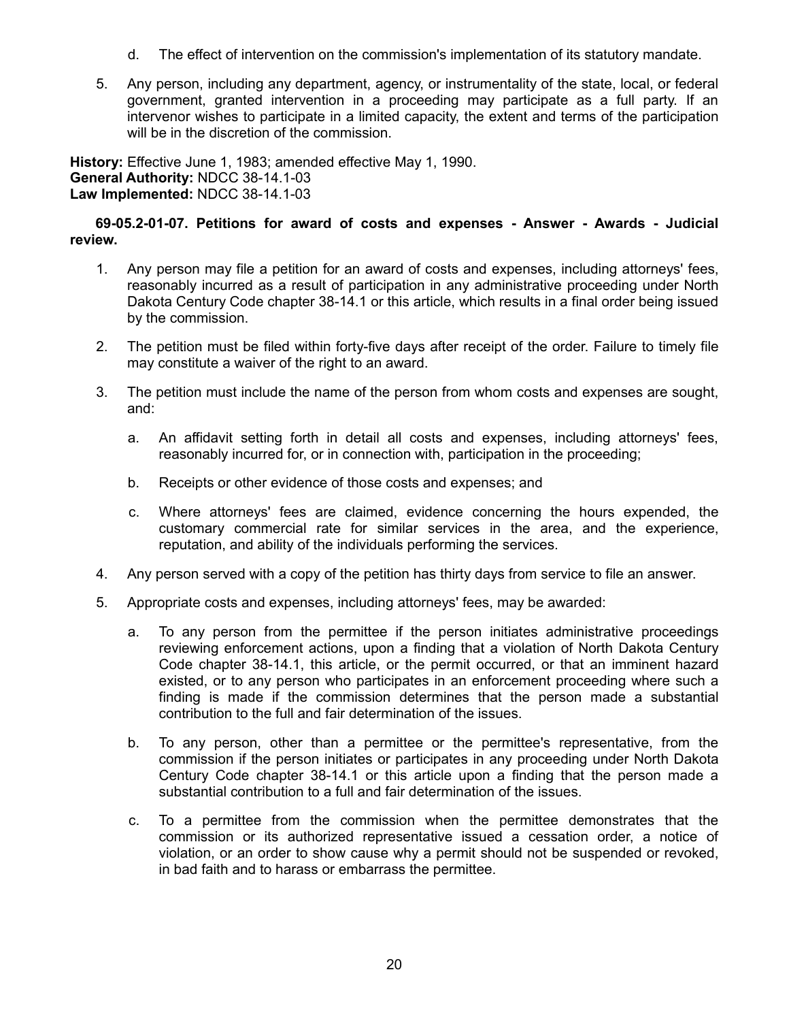- d. The effect of intervention on the commission's implementation of its statutory mandate.
- 5. Any person, including any department, agency, or instrumentality of the state, local, or federal government, granted intervention in a proceeding may participate as a full party. If an intervenor wishes to participate in a limited capacity, the extent and terms of the participation will be in the discretion of the commission.

**History:** Effective June 1, 1983; amended effective May 1, 1990. **General Authority:** NDCC 38-14.1-03 **Law Implemented:** NDCC 38-14.1-03

## **69-05.2-01-07. Petitions for award of costs and expenses - Answer - Awards - Judicial review.**

- 1. Any person may file a petition for an award of costs and expenses, including attorneys' fees, reasonably incurred as a result of participation in any administrative proceeding under North Dakota Century Code chapter 38-14.1 or this article, which results in a final order being issued by the commission.
- 2. The petition must be filed within forty-five days after receipt of the order. Failure to timely file may constitute a waiver of the right to an award.
- 3. The petition must include the name of the person from whom costs and expenses are sought, and:
	- a. An affidavit setting forth in detail all costs and expenses, including attorneys' fees, reasonably incurred for, or in connection with, participation in the proceeding;
	- b. Receipts or other evidence of those costs and expenses; and
	- c. Where attorneys' fees are claimed, evidence concerning the hours expended, the customary commercial rate for similar services in the area, and the experience, reputation, and ability of the individuals performing the services.
- 4. Any person served with a copy of the petition has thirty days from service to file an answer.
- 5. Appropriate costs and expenses, including attorneys' fees, may be awarded:
	- a. To any person from the permittee if the person initiates administrative proceedings reviewing enforcement actions, upon a finding that a violation of North Dakota Century Code chapter 38-14.1, this article, or the permit occurred, or that an imminent hazard existed, or to any person who participates in an enforcement proceeding where such a finding is made if the commission determines that the person made a substantial contribution to the full and fair determination of the issues.
	- b. To any person, other than a permittee or the permittee's representative, from the commission if the person initiates or participates in any proceeding under North Dakota Century Code chapter 38-14.1 or this article upon a finding that the person made a substantial contribution to a full and fair determination of the issues.
	- c. To a permittee from the commission when the permittee demonstrates that the commission or its authorized representative issued a cessation order, a notice of violation, or an order to show cause why a permit should not be suspended or revoked, in bad faith and to harass or embarrass the permittee.